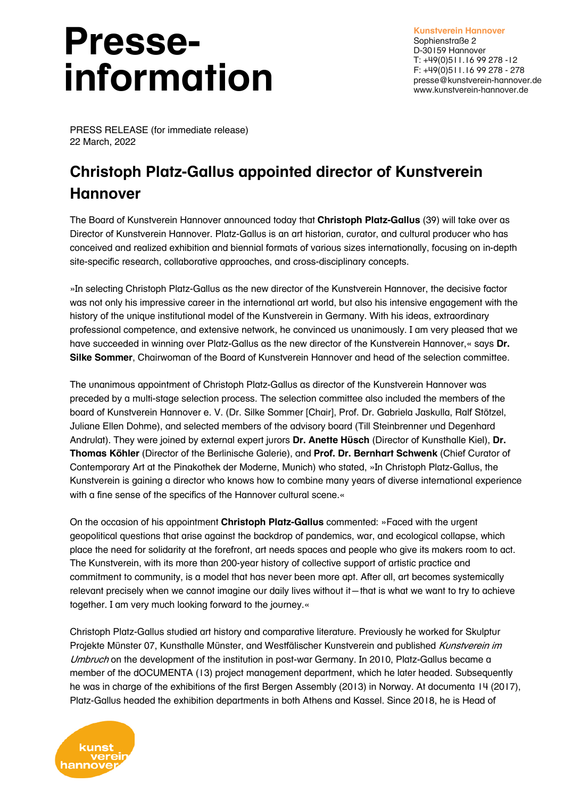## **Presseinformation**

**Kunstverein Hannover** Sophienstraße 2 D-30159 Hannover T: +49(0)511.16 99 278 -12 F: +49(0)511.16 99 278 - 278 presse@kunstverein-hannover.de www.kunstverein-hannover.de

PRESS RELEASE (for immediate release) 22 March, 2022

## **Christoph Platz-Gallus appointed director of Kunstverein Hannover**

The Board of Kunstverein Hannover announced today that **Christoph Platz-Gallus** (39) will take over as Director of Kunstverein Hannover. Platz-Gallus is an art historian, curator, and cultural producer who has conceived and realized exhibition and biennial formats of various sizes internationally, focusing on in-depth site-specific research, collaborative approaches, and cross-disciplinary concepts.

»In selecting Christoph Platz-Gallus as the new director of the Kunstverein Hannover, the decisive factor was not only his impressive career in the international art world, but also his intensive engagement with the history of the unique institutional model of the Kunstverein in Germany. With his ideas, extraordinary professional competence, and extensive network, he convinced us unanimously. I am very pleased that we have succeeded in winning over Platz-Gallus as the new director of the Kunstverein Hannover,« says **Dr. Silke Sommer**, Chairwoman of the Board of Kunstverein Hannover and head of the selection committee.

The unanimous appointment of Christoph Platz-Gallus as director of the Kunstverein Hannover was preceded by a multi-stage selection process. The selection committee also included the members of the board of Kunstverein Hannover e. V. (Dr. Silke Sommer [Chair], Prof. Dr. Gabriela Jaskulla, Ralf Stötzel, Juliane Ellen Dohme), and selected members of the advisory board (Till Steinbrenner und Degenhard Andrulat). They were joined by external expert jurors **Dr. Anette Hüsch** (Director of Kunsthalle Kiel), **Dr. Thomas Köhler** (Director of the Berlinische Galerie), and **Prof. Dr. Bernhart Schwenk** (Chief Curator of Contemporary Art at the Pinakothek der Moderne, Munich) who stated, »In Christoph Platz-Gallus, the Kunstverein is gaining a director who knows how to combine many years of diverse international experience with a fine sense of the specifics of the Hannover cultural scene.«

On the occasion of his appointment **Christoph Platz-Gallus** commented: »Faced with the urgent geopolitical questions that arise against the backdrop of pandemics, war, and ecological collapse, which place the need for solidarity at the forefront, art needs spaces and people who give its makers room to act. The Kunstverein, with its more than 200-year history of collective support of artistic practice and commitment to community, is a model that has never been more apt. After all, art becomes systemically relevant precisely when we cannot imagine our daily lives without it—that is what we want to try to achieve together. I am very much looking forward to the journey.«

Christoph Platz-Gallus studied art history and comparative literature. Previously he worked for Skulptur Projekte Münster 07, Kunsthalle Münster, and Westfälischer Kunstverein and published Kunstverein im Umbruch on the development of the institution in post-war Germany. In 2010, Platz-Gallus became a member of the dOCUMENTA (13) project management department, which he later headed. Subsequently he was in charge of the exhibitions of the first Bergen Assembly (2013) in Norway. At documenta 14 (2017), Platz-Gallus headed the exhibition departments in both Athens and Kassel. Since 2018, he is Head of